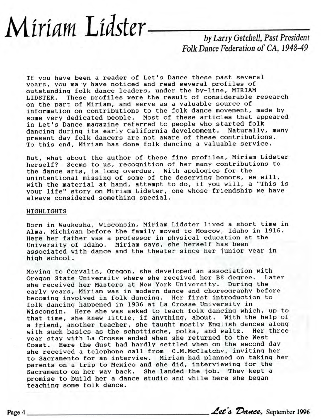## *Miriam Lidster by Larry Getchell, Past President*

## *Folk Dance Federation of* CA, 1948-49

If you have been a reader of Let's Dance these past several vears, you ma y have noticed and read several profiles of outstanding folk dance leaders, under the by-line, MIRIAM LIDSTER. These profiles were the result of considerable research on the part of Miriam, and serve as a valuable source of information on contributions to the folk dance movement, made by some very dedicated people. Most of these articles that appeared in Let's Dance magazine referred to people who started folk dancing during its early California development. Naturally, many present day folk dancers are not aware of these contributions. To this end, Miriam has done folk dancing a valuable service.

But, what about the author of these fine profiles, Miriam Lidster herself? Seems to us, recognition of her many contributions to the dance arts, is long overdue. With apologies for the unintentional missing of some of the deserving honors, we will, with the material at hand, attempt to do, if you will, a "This is your life" story on Miriam Lidster, one whose friendship we have always considered something special.

## HIGHLIGHTS

Born in Waukesha, Wisconsin, Miriam Lidster lived a short time in Alma, Michigan before the family moved to Moscow, Idaho in 1916. Here her father was a professor in physical education at the University of Idaho. Miriam says, she herself has been associated with dance and the theater since her junior year in high school.

Moving to Corvalis, Oregon, she developed an association with Oregon State University where she received her BS degree. Later she received her Masters at New York University. During the early years, Miriam was in modern dance and choreography before becoming involved in folk dancing. Her first introduction to folk dancing happened in 1936 at La Crosse University in Wisconsin. Here she was asked to teach folk dancing which, up to that time, she knew little, if anything, about. With the help of a friend, another teacher, she taught mostly English dances along with such basics as the schottische, polka, and waltz. Her three year stay with La Crosse ended when she returned to the West Coast. Here the dust had hardly settled when on the second day she received a telephone call from C.M.McClatchy, inviting her to Sacramento for an interview. Miriam had planned on taking her parents on a trip to Mexico and she did, interviewing for the Sacramento on her way back. She landed the job. They kept a promise to build her a dance studio and while here she began teaching some folk dance.

Page 4 *Let's Dance*, September 1996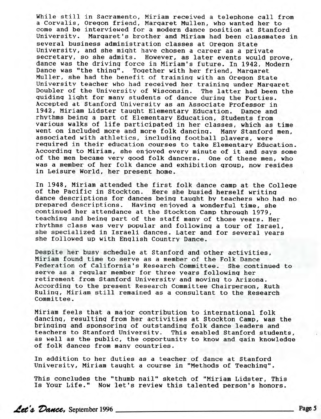While still in Sacramento, Miriam received a telephone call from a Corvalis, Oregon friend, Margaret Mullen, who wanted her to come and be interviewed for a modern dance position at Stanford University. Margaret's brother and Miriam had been classmates in several business administration classes at Oregon State University, and she might have chosen a career as a private secretary, so she admits. However, as later events would prove, dance was the driving force in Miriam's future. In 1942, Modern Dance was "the thing". Together with her friend, Margaret Muller, she had the benefit of training with an Oregon State University teacher who had received her training under Margaret Doubler of the University of Wisconsin. The latter had been the guiding light for many students of dance during the Forties. Accepted at Stanford University as an Associate Professor in 1942, Miriam Lidster taught Elementary Education. Dance and rhythms being a part of Elementary Education, Students from various walks of life participated in her classes, which as time went on included more and more folk dancing. Many Stanford men, associated with athletics, including football players, were required in their education courses to take Elementary Education. According to Miriam, she enjoyed every minute of it and says some of the men became very good folk dancers. One of these men, who was a member of her folk dance and exhibition group, now resides in Leisure World, her present home.

In 1948, Miriam attended the first folk dance camp at the College of the Pacific in Stockton. Here she busied herself writing dance descriptions for dances being taught by teachers who had no prepared descriptions. Having enjoyed a wonderful time, she continued her attendance at the Stockton Camp through 1979, teaching and being part of the staff many of those years. Her rhythms class was very popular and following a tour of Israel, she specialized in Israeli dances. Later and for several years she followed up with English Country Dance.

Despite her busy schedule at Stanford and other activities, Miriam found time to serve as a member of the Folk Dance Federation of California's Research Committee. She continued to serve as a regular member for three years following her retirement from Stanford University and moving to Arizona. According to the present Research Committee Chairperson, Ruth Ruling, Miriam still remained as a consultant to the Research Committee.

Miriam feels that a major contribution to international folk dancing, resulting from her activities at Stockton Camp, was the bringing and sponsoring of outstanding folk dance leaders and teachers to Stanford University. This enabled Stanford students, as well as the public, the opportunity to know and gain knowledge of folk dances from many countries.

In addition to her duties as a teacher of dance at Stanford University, Miriam taught a course in "Methods of Teaching".

This concludes the "thumb nail" sketch of "Miriam Lidster, This Is Your Life." Now let's review this talented person's honors.